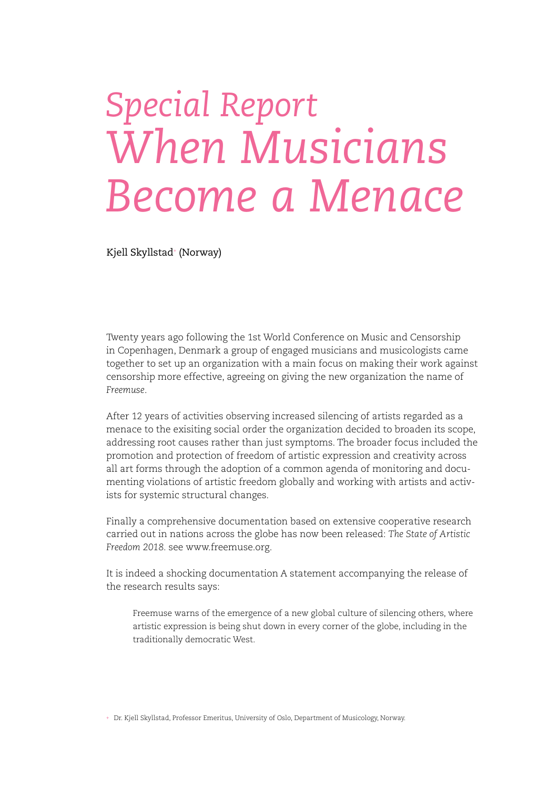## *Special Report When Musicians Become a Menace*

Kjell Skyllstad+ (Norway)

Twenty years ago following the 1st World Conference on Music and Censorship in Copenhagen, Denmark a group of engaged musicians and musicologists came together to set up an organization with a main focus on making their work against censorship more effective, agreeing on giving the new organization the name of *Freemuse*.

After 12 years of activities observing increased silencing of artists regarded as a menace to the exisiting social order the organization decided to broaden its scope, addressing root causes rather than just symptoms. The broader focus included the promotion and protection of freedom of artistic expression and creativity across all art forms through the adoption of a common agenda of monitoring and documenting violations of artistic freedom globally and working with artists and activists for systemic structural changes.

Finally a comprehensive documentation based on extensive cooperative research carried out in nations across the globe has now been released: *The State of Artistic Freedom 2018.* see www.freemuse.org.

It is indeed a shocking documentation A statement accompanying the release of the research results says:

Freemuse warns of the emergence of a new global culture of silencing others, where artistic expression is being shut down in every corner of the globe, including in the traditionally democratic West.

+ Dr. Kjell Skyllstad, Professor Emeritus, University of Oslo, Department of Musicology, Norway.